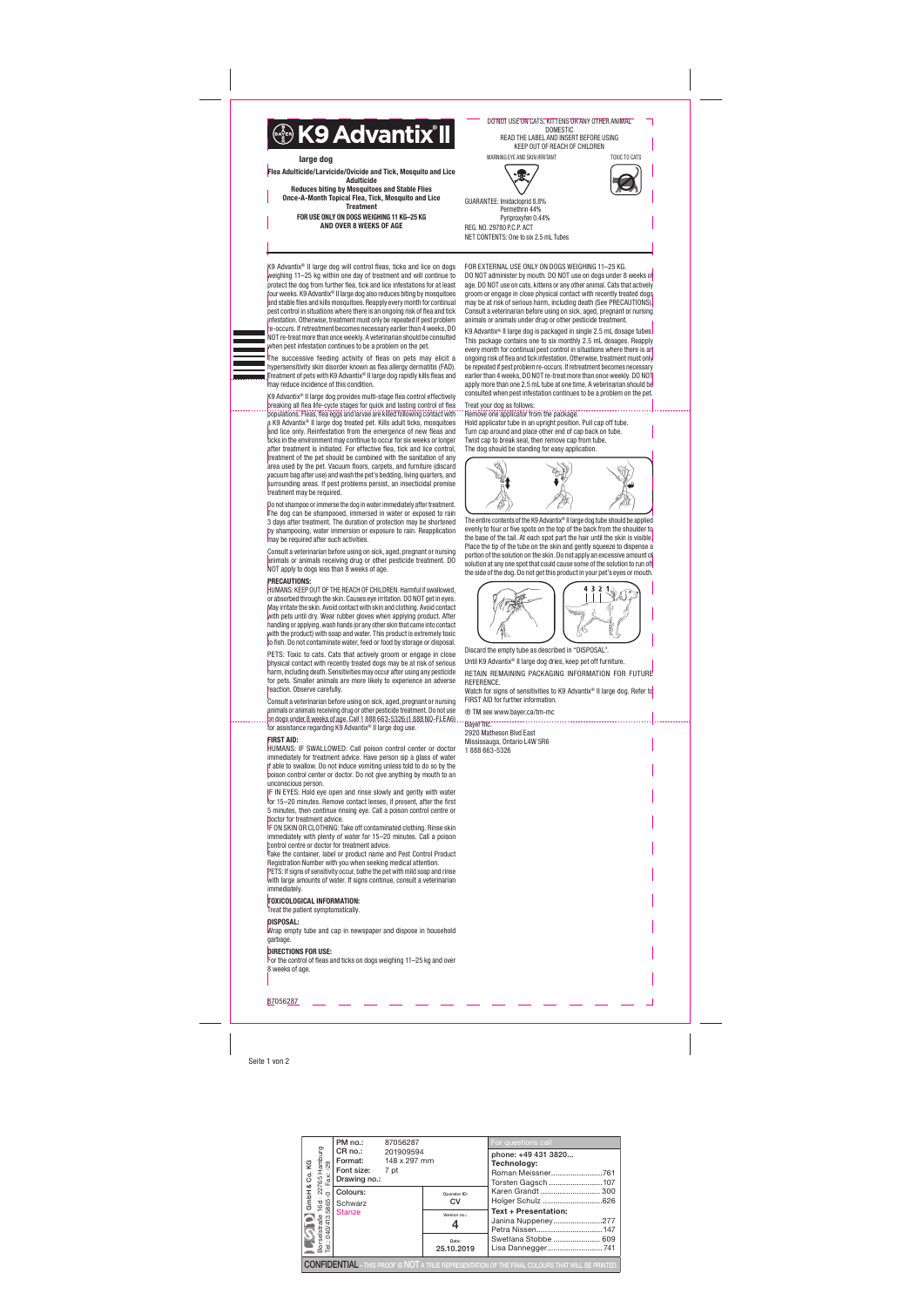|                                                                    | PM no.:                                                                                                  | 87056287  |                     | For questions call                                                                                                |  |  |  |  |  |
|--------------------------------------------------------------------|----------------------------------------------------------------------------------------------------------|-----------|---------------------|-------------------------------------------------------------------------------------------------------------------|--|--|--|--|--|
| elstraße 16d · 22765 Hamburg<br>040/4135865-0 · Fax: -29<br>Co. KG | CR no.:<br>Format: 148 x 297 mm<br>Font size: 7 pt                                                       | 201909594 |                     | phone: +49 431 3820<br>Technology:                                                                                |  |  |  |  |  |
| න්                                                                 | Drawing no.:                                                                                             |           |                     | Torsten Gagsch 107<br>Karen Grandt  300<br>Holger Schulz 626<br><b>Text + Presentation:</b><br>Janina Nuppeney277 |  |  |  |  |  |
| GmbH                                                               | Colours:<br>Schwarz<br>Stanze                                                                            |           | Operator ID:<br>CV  |                                                                                                                   |  |  |  |  |  |
| Borselstraße<br>Tel.: 040/4135                                     |                                                                                                          |           | Version no.:        |                                                                                                                   |  |  |  |  |  |
|                                                                    |                                                                                                          |           | Date:<br>25.10.2019 | Swetlana Stobbe  609<br>Lisa Dannegger741                                                                         |  |  |  |  |  |
|                                                                    | <b>CONFIDENTIAL</b> - THIS PROOF IS NOT A TRUE REPRESENTATION OF THE FINAL COLOURS THAT WILL BE PRINTED. |           |                     |                                                                                                                   |  |  |  |  |  |

Seite 1 von 2

K9 Advantix® II large dog will control fleas, ticks and lice on dogs weighing 11–25 kg within one day of treatment and will continue to protect the dog from further flea, tick and lice infestations for at least four weeks. K9 Advantix® II large dog also reduces biting by mosquitoes and stable flies and kills mosquitoes. Reapply every month for continual pest control in situations where there is an ongoing risk of flea and tick infestation. Otherwise, treatment must only be repeated if pest problem -occurs. If retreatment becomes necessary earlier than 4 weeks, DO NOT re-treat more than once weekly. A veterinarian should be consulted when pest infestation continues to be a problem on the pet.

The successive feeding activity of fleas on pets may elicit a hypersensitivity skin disorder known as flea allergy dermatitis (FAD). Treatment of pets with K9 Advantix® II large dog rapidly kills fleas and may reduce incidence of this condition.

Consult a veterinarian before using on sick, aged, pregnant or nursing animals or animals receiving drug or other pesticide treatment. Do not use on dogs under 8 weeks of age. Call 1 888 663-5326 (1 888 NO-FLEA6) for assistance regarding K9 Advantix<sup>®</sup> II large dog use.

K9 Advantix® II large dog provides multi-stage flea control effectively breaking all flea life-cycle stages for quick and lasting control of flea populations. Fleas, flea eggs and larvae are killed following contact with a K9 Advantix® II large dog treated pet. Kills adult ticks, mosquitoes and lice only. Reinfestation from the emergence of new fleas and ticks in the environment may continue to occur for six weeks or longer after treatment is initiated. For effective flea, tick and lice control, treatment of the pet should be combined with the sanitation of any area used by the pet. Vacuum floors, carpets, and furniture (discard vacuum bag after use) and wash the pet's bedding, living quarters, and surrounding areas. If pest problems persist, an insecticidal premise treatment may be required.

PETS: If signs of sensitivity occur, bathe the pet with mild soap and rinse with large amounts of water. If signs continue, consult a veterinarian immediately.

Do not shampoo or immerse the dog in water immediately after treatment. The dog can be shampooed, immersed in water or exposed to rain 3 days after treatment. The duration of protection may be shortened by shampooing, water immersion or exposure to rain. Reapplication may be required after such activities.

Consult a veterinarian before using on sick, aged, pregnant or nursing animals or animals receiving drug or other pesticide treatment. DO NOT apply to dogs less than 8 weeks of age.

#### PRECAUTIONS:

HUMANS: KEEP OUT OF THE REACH OF CHILDREN. Harmful if swallowed, or absorbed through the skin. Causes eye irritation. DO NOT get in eyes. May irritate the skin. Avoid contact with skin and clothing. Avoid contact with pets until dry. Wear rubber gloves when applying product. After handling or applying, wash hands (or any other skin that came into contact with the product) with soap and water. This product is extremely toxic to fish. Do not contaminate water, feed or food by storage or disposal.

The entire contents of the K9 Advantix<sup>®</sup> II large dog tube should be applied evenly to four or five spots on the top of the back from the shoulder to the base of the tail. At each spot part the hair until the skin is visible. Place the tip of the tube on the skin and gently squeeze to dispense a portion of the solution on the skin. Do not apply an excessive amount of solution at any one spot that could cause some of the solution to run off the side of the dog. Do not get this product in your pet's eyes or mouth.



PETS: Toxic to cats. Cats that actively groom or engage in close physical contact with recently treated dogs may be at risk of serious harm, including death. Sensitivities may occur after using any pesticide for pets. Smaller animals are more likely to experience an adverse reaction. Observe carefully.

Watch for signs of sensitivities to K9 Advantix® II large dog. Refer to FIRST AID for further information.

#### FIRST AID:

HUMANS: IF SWALLOWED: Call poison control center or doctor immediately for treatment advice. Have person sip a glass of water if able to swallow. Do not induce vomiting unless told to do so by the poison control center or doctor. Do not give anything by mouth to an unconscious person.

IF IN EYES: Hold eye open and rinse slowly and gently with water for 15–20 minutes. Remove contact lenses, if present, after the first 5 minutes, then continue rinsing eye. Call a poison control centre or doctor for treatment advice.

IF ON SKIN OR CLOTHING: Take off contaminated clothing. Rinse skin immediately with plenty of water for 15–20 minutes. Call a poison control centre or doctor for treatment advice.

Take the container, label or product name and Pest Control Product Registration Number with you when seeking medical attention.

#### TOXICOLOGICAL INFORMATION:

Treat the patient symptomatically.

DISPOSAL:

Wrap empty tube and cap in newspaper and dispose in household garbage.

#### **DIRECTIONS FOR USE:**

For the control of fleas and ticks on dogs weighing 11–25 kg and over 8 weeks of age.

FOR EXTERNAL USE ONLY ON DOGS WEIGHING 11–25 KG. DO NOT administer by mouth. DO NOT use on dogs under 8 weeks of age. DO NOT use on cats, kittens or any other animal. Cats that actively groom or engage in close physical contact with recently treated dogs may be at risk of serious harm, including death (See PRECAUTIONS). Consult a veterinarian before using on sick, aged, pregnant or nursing animals or animals under drug or other pesticide treatment.

K9 Advantix® II large dog is packaged in single 2.5 mL dosage tubes. This package contains one to six monthly 2.5 mL dosages. Reapply every month for continual pest control in situations where there is an ongoing risk of flea and tick infestation. Otherwise, treatment must only be repeated if pest problem re-occurs. If retreatment becomes necessary earlier than 4 weeks, DO NOT re-treat more than once weekly. DO NOT apply more than one 2.5 mL tube at one time. A veterinarian should be consulted when pest infestation continues to be a problem on the pet.

## Treat your dog as follows:

Remove one applicator from the package. Hold applicator tube in an upright position. Pull cap off tube. Turn cap around and place other end of cap back on tube. Twist cap to break seal, then remove cap from tube. The dog should be standing for easy application.



Discard the empty tube as described in "DISPOSAL".

Until K9 Advantix® II large dog dries, keep pet off furniture. RETAIN REMAINING PACKAGING INFORMATION FOR FUTURE REFERENCE.

® TM see www.bayer.ca/tm-mc

Bayer Inc. 2920 Matheson Blvd East Mississauga, Ontario L4W 5R6 1 888 663-5326

87056287